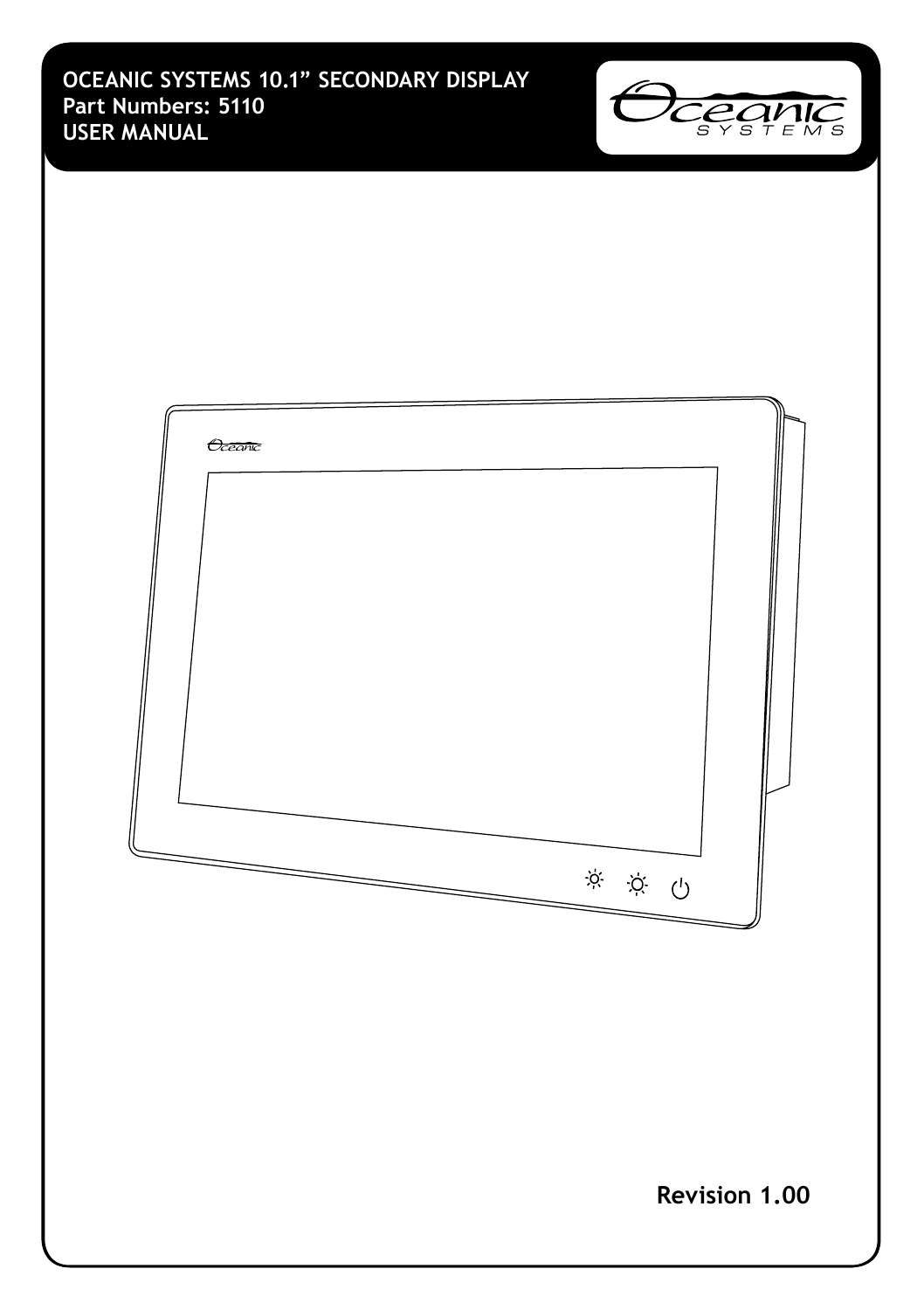**OCEANIC SYSTEMS 10.1" SECONDARY DISPLAY Part Numbers: 5110 USER MANUAL**



| Oceanic<br>$\begin{picture}(60,6) \put(0,0){\vector(0,0){100}} \put(15,0){\vector(0,0){100}} \put(15,0){\vector(0,0){100}} \put(15,0){\vector(0,0){100}} \put(15,0){\vector(0,0){100}} \put(15,0){\vector(0,0){100}} \put(15,0){\vector(0,0){100}} \put(15,0){\vector(0,0){100}} \put(15,0){\vector(0,0){100}} \put(15,0){\vector(0,0){100}} \put(15,0){\vector(0,0){100}} \put$ |  |
|----------------------------------------------------------------------------------------------------------------------------------------------------------------------------------------------------------------------------------------------------------------------------------------------------------------------------------------------------------------------------------|--|
| Revision 1.00                                                                                                                                                                                                                                                                                                                                                                    |  |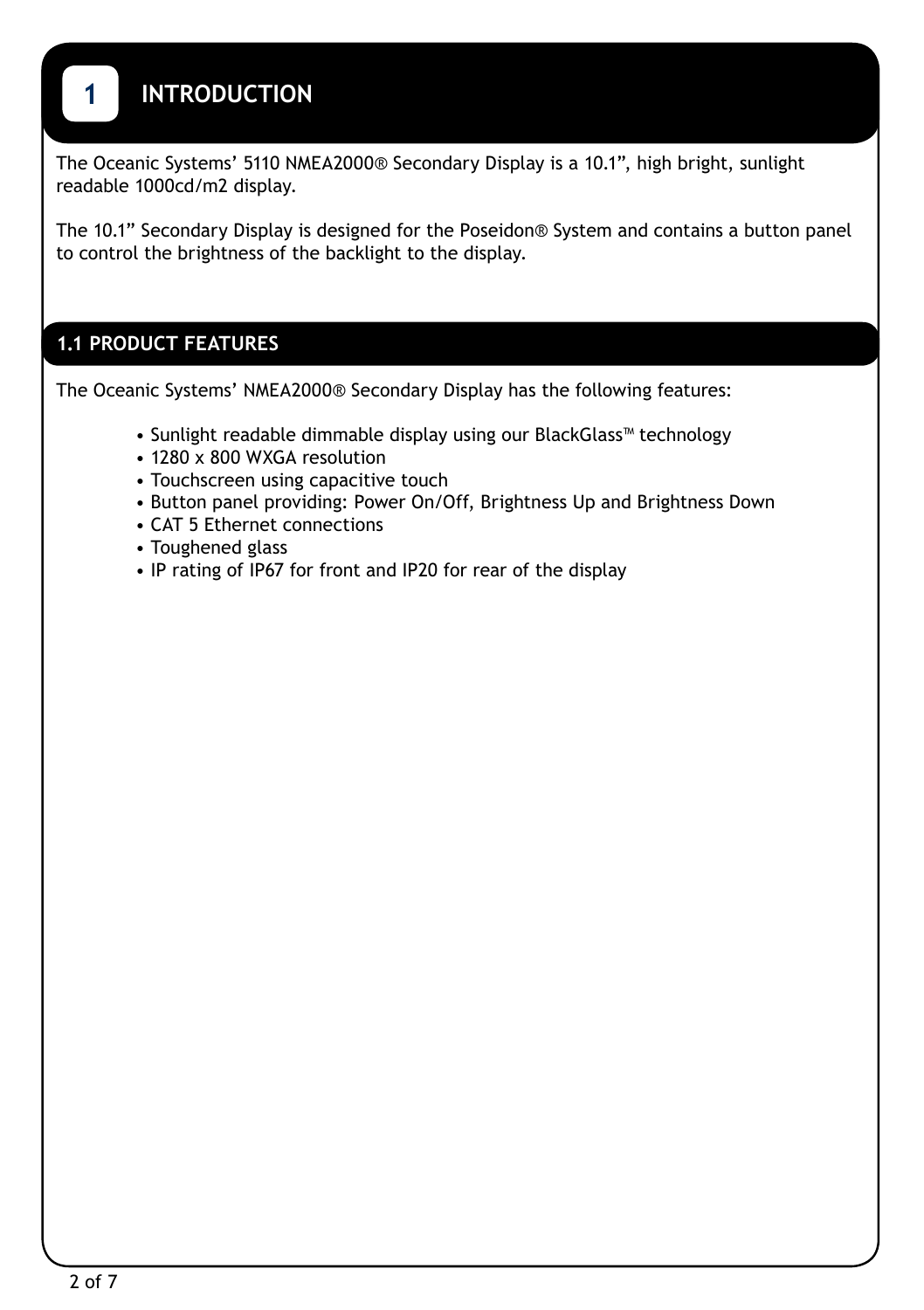# <span id="page-2-0"></span>**1 INTRODUCTION**

The Oceanic Systems' 5110 NMEA2000® Secondary Display is a 10.1", high bright, sunlight readable 1000cd/m2 display.

The 10.1" Secondary Display is designed for the Poseidon® System and contains a button panel to control the brightness of the backlight to the display.

## **1.1 PRODUCT FEATURES**

The Oceanic Systems' NMEA2000® Secondary Display has the following features:

- Sunlight readable dimmable display using our BlackGlass™ technology
- 1280 x 800 WXGA resolution
- Touchscreen using capacitive touch
- Button panel providing: Power On/Off, Brightness Up and Brightness Down
- CAT 5 Ethernet connections
- Toughened glass
- IP rating of IP67 for front and IP20 for rear of the display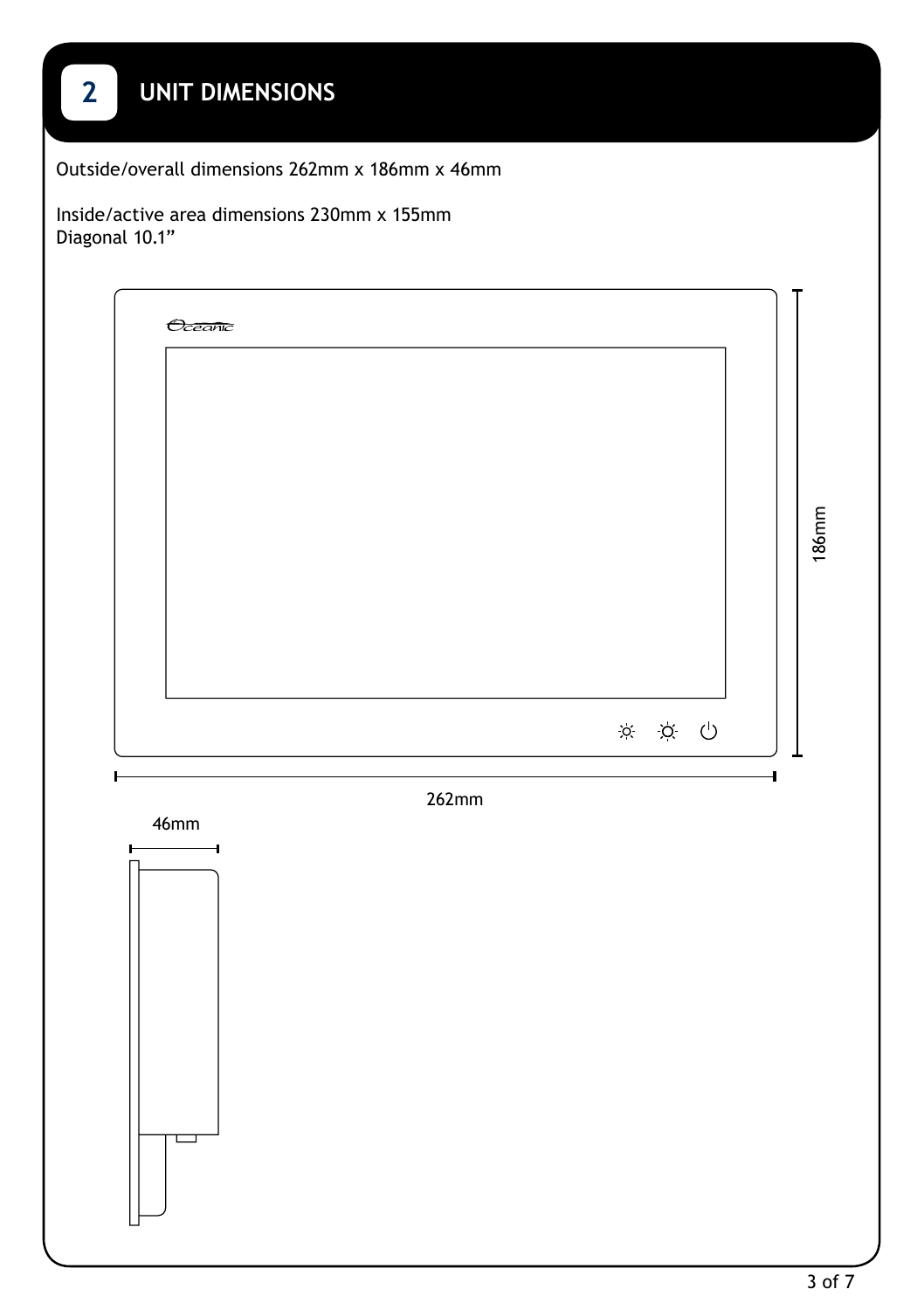<span id="page-3-0"></span>

| $\overline{2}$ | <b>UNIT DIMENSIONS</b>                                                            |       |
|----------------|-----------------------------------------------------------------------------------|-------|
|                | Outside/overall dimensions 262mm x 186mm x 46mm                                   |       |
| Diagonal 10.1" | Inside/active area dimensions 230mm x 155mm                                       |       |
|                | Oceanic<br>$\begin{matrix} \boxtimes \quad \boxtimes \quad \bigcirc \end{matrix}$ | 186mm |
| ŀ              | 4<br>262mm<br>46mm                                                                |       |
|                | H<br>⊣<br>ᆸ                                                                       |       |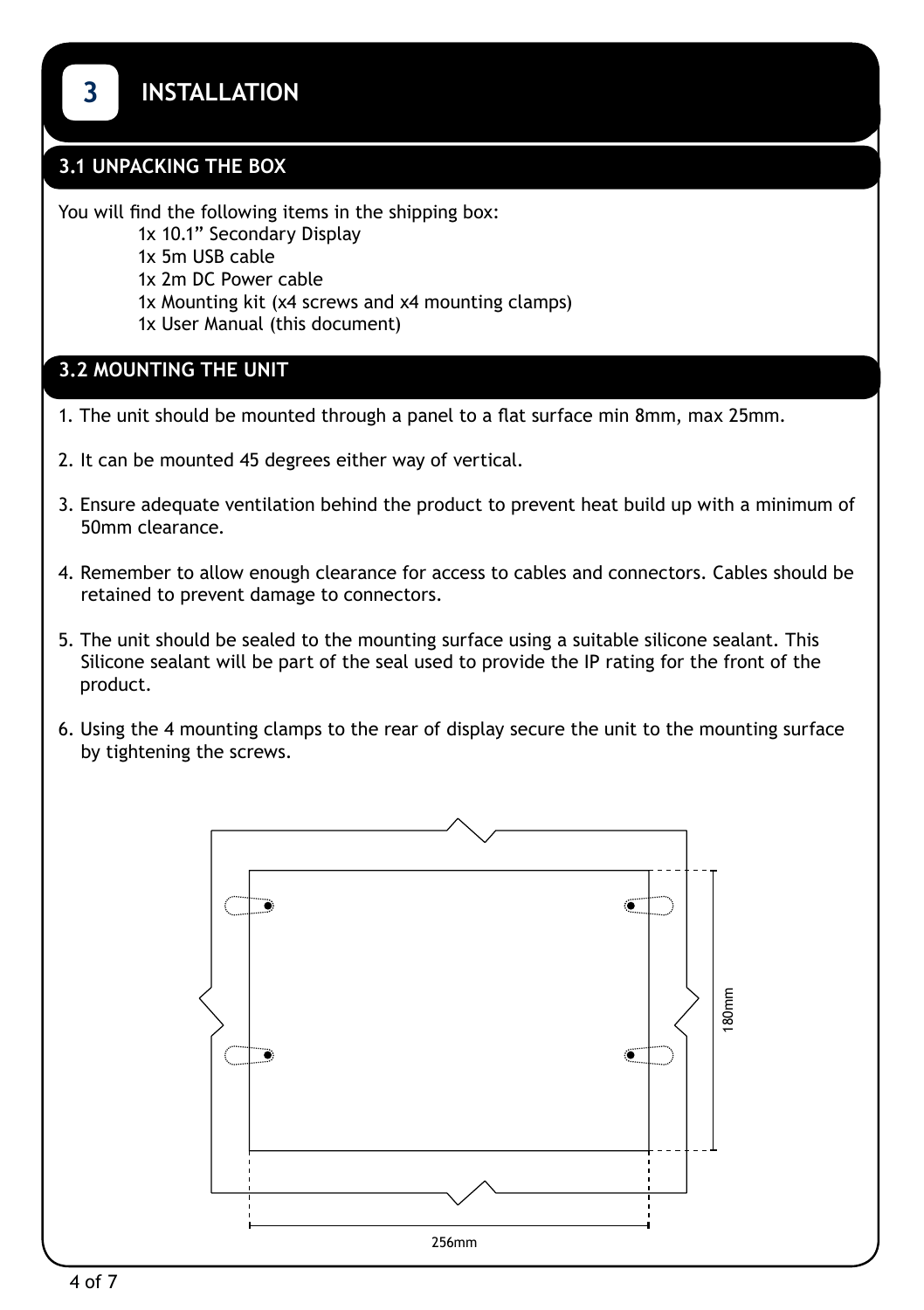## <span id="page-4-0"></span>**3.1 UNPACKING THE BOX**

You will find the following items in the shipping box:

- 1x 10.1" Secondary Display
- 1x 5m USB cable
- 1x 2m DC Power cable
- 1x Mounting kit (x4 screws and x4 mounting clamps)
- 1x User Manual (this document)

### **3.2 MOUNTING THE UNIT**

- 1. The unit should be mounted through a panel to a flat surface min 8mm, max 25mm.
- 2. It can be mounted 45 degrees either way of vertical.
- 3. Ensure adequate ventilation behind the product to prevent heat build up with a minimum of 50mm clearance.
- 4. Remember to allow enough clearance for access to cables and connectors. Cables should be retained to prevent damage to connectors.
- 5. The unit should be sealed to the mounting surface using a suitable silicone sealant. This Silicone sealant will be part of the seal used to provide the IP rating for the front of the product.
- 6. Using the 4 mounting clamps to the rear of display secure the unit to the mounting surface by tightening the screws.

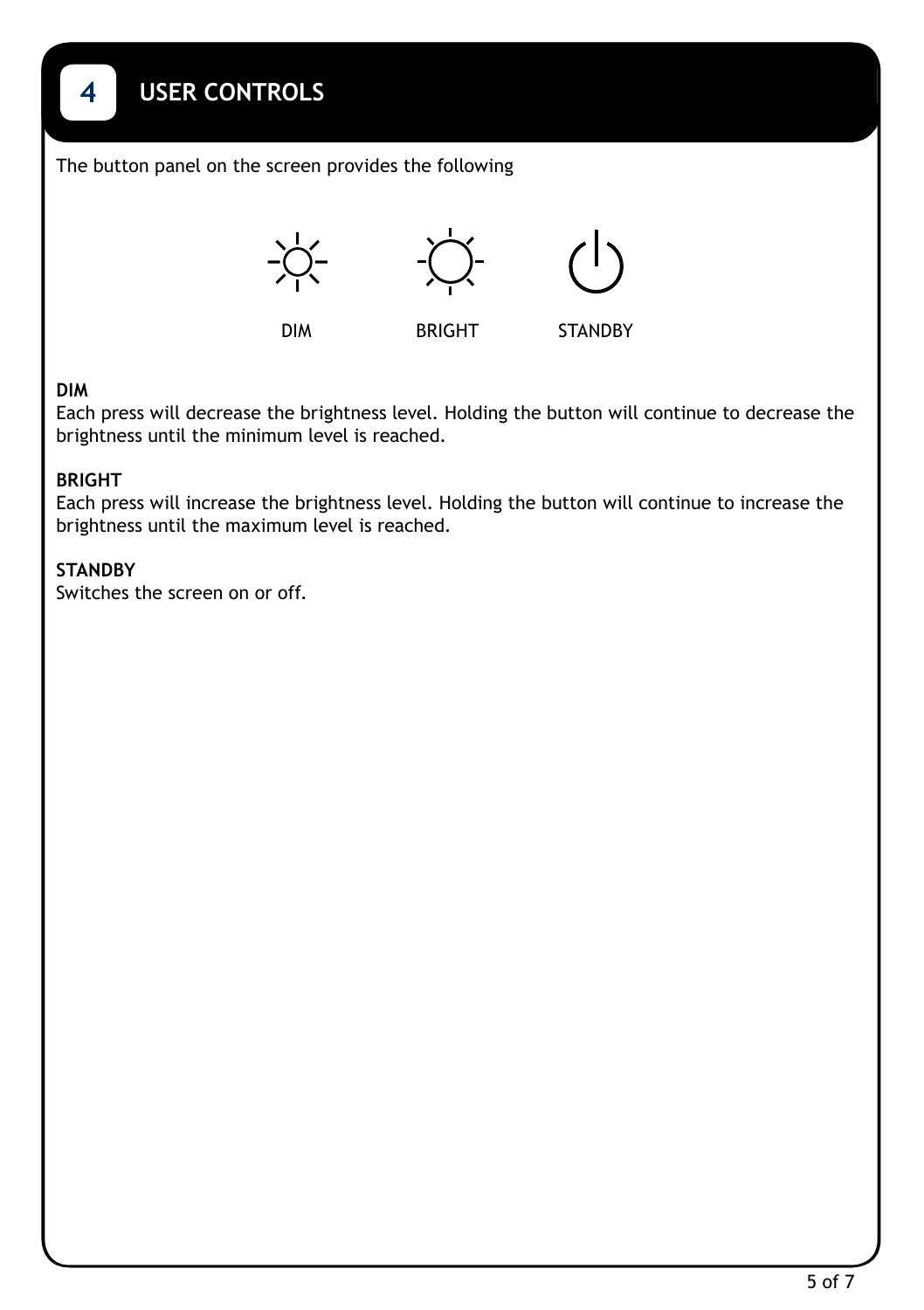The button panel on the screen provides the following



#### **DIM**

<span id="page-5-0"></span>**4**

Each press will decrease the brightness level. Holding the button will continue to decrease the brightness until the minimum level is reached.

#### **BRIGHT**

Each press will increase the brightness level. Holding the button will continue to increase the brightness until the maximum level is reached.

#### **STANDBY**

Switches the screen on or off.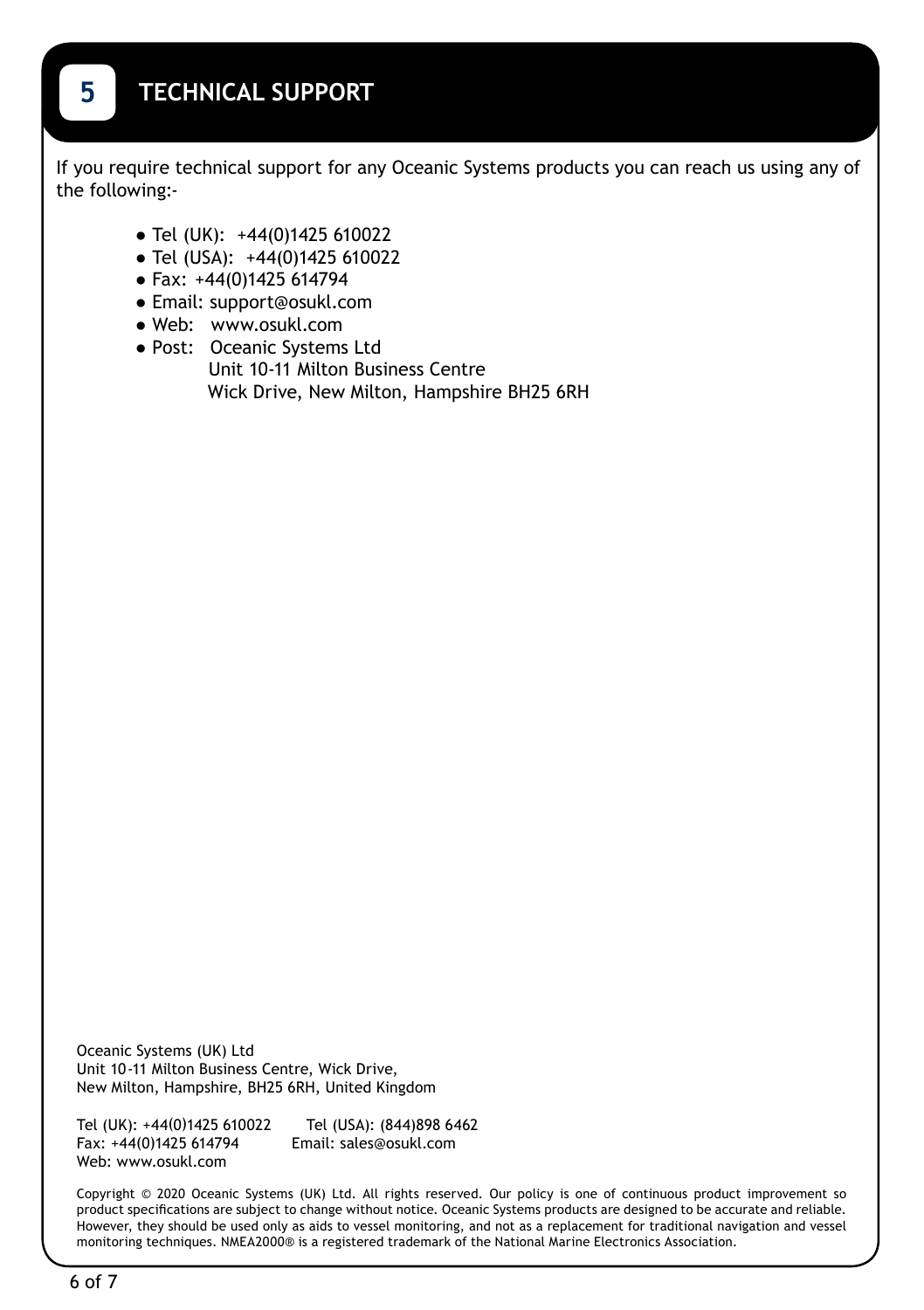<span id="page-6-0"></span>If you require technical support for any Oceanic Systems products you can reach us using any of the following:-

- **●** Tel (UK): +44(0)1425 610022
- **●** Tel (USA): +44(0)1425 610022
- **●** Fax: +44(0)1425 614794
- **●** Email: support@osukl.com
- **●** Web: www.osukl.com
- **●** Post: Oceanic Systems Ltd Unit 10-11 Milton Business Centre Wick Drive, New Milton, Hampshire BH25 6RH

Oceanic Systems (UK) Ltd Unit 10-11 Milton Business Centre, Wick Drive, New Milton, Hampshire, BH25 6RH, United Kingdom

Tel (UK): +44(0)1425 610022 Tel (USA): (844)898 6462 Fax: +44(0)1425 614794 Web: www.osukl.com

Copyright © 2020 Oceanic Systems (UK) Ltd. All rights reserved. Our policy is one of continuous product improvement so product specifications are subject to change without notice. Oceanic Systems products are designed to be accurate and reliable. However, they should be used only as aids to vessel monitoring, and not as a replacement for traditional navigation and vessel monitoring techniques. NMEA2000® is a registered trademark of the National Marine Electronics Association.